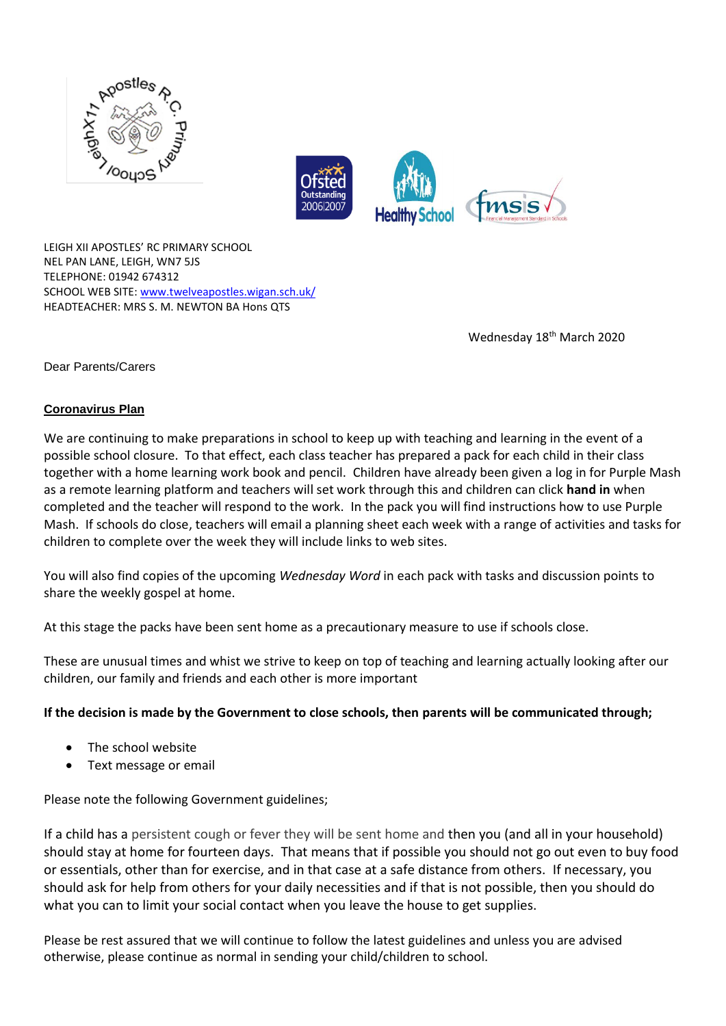



LEIGH XII APOSTLES' RC PRIMARY SCHOOL NEL PAN LANE, LEIGH, WN7 5JS TELEPHONE: 01942 674312 SCHOOL WEB SITE: [www.twelveapostles.wigan.sch.uk/](http://www.twelveapostles.wigan.sch.uk/) HEADTEACHER: MRS S. M. NEWTON BA Hons QTS

Wednesday 18<sup>th</sup> March 2020

Dear Parents/Carers

## **Coronavirus Plan**

We are continuing to make preparations in school to keep up with teaching and learning in the event of a possible school closure. To that effect, each class teacher has prepared a pack for each child in their class together with a home learning work book and pencil. Children have already been given a log in for Purple Mash as a remote learning platform and teachers will set work through this and children can click **hand in** when completed and the teacher will respond to the work. In the pack you will find instructions how to use Purple Mash. If schools do close, teachers will email a planning sheet each week with a range of activities and tasks for children to complete over the week they will include links to web sites.

You will also find copies of the upcoming *Wednesday Word* in each pack with tasks and discussion points to share the weekly gospel at home.

At this stage the packs have been sent home as a precautionary measure to use if schools close.

These are unusual times and whist we strive to keep on top of teaching and learning actually looking after our children, our family and friends and each other is more important

## **If the decision is made by the Government to close schools, then parents will be communicated through;**

- The school website
- Text message or email

## Please note the following Government guidelines;

If a child has a persistent cough or fever they will be sent home and then you (and all in your household) should stay at home for fourteen days. That means that if possible you should not go out even to buy food or essentials, other than for exercise, and in that case at a safe distance from others. If necessary, you should ask for help from others for your daily necessities and if that is not possible, then you should do what you can to limit your social contact when you leave the house to get supplies.

Please be rest assured that we will continue to follow the latest guidelines and unless you are advised otherwise, please continue as normal in sending your child/children to school.